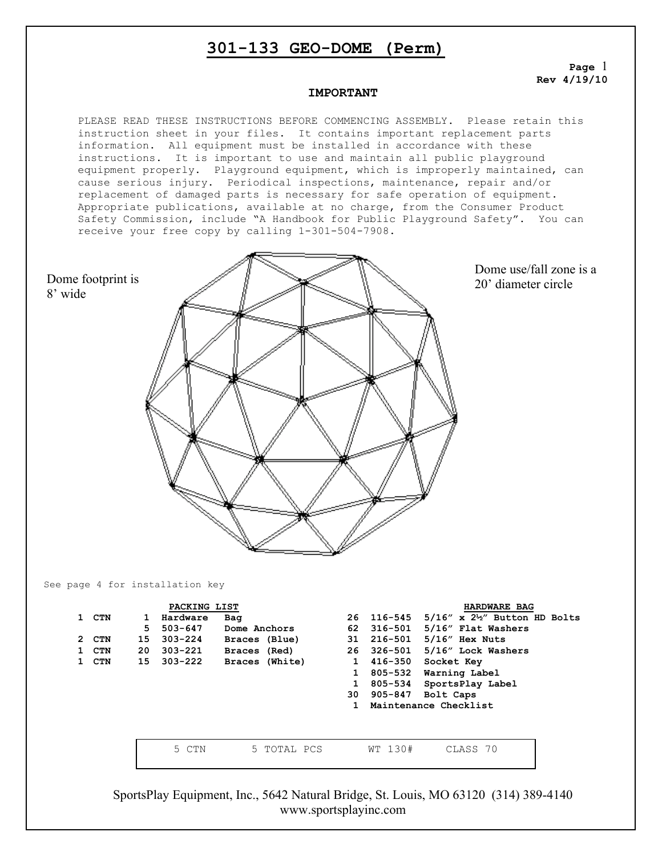**Page** 1 **Rev 4/19/10**

#### **IMPORTANT**

PLEASE READ THESE INSTRUCTIONS BEFORE COMMENCING ASSEMBLY. Please retain this instruction sheet in your files. It contains important replacement parts information. All equipment must be installed in accordance with these instructions. It is important to use and maintain all public playground equipment properly. Playground equipment, which is improperly maintained, can cause serious injury. Periodical inspections, maintenance, repair and/or replacement of damaged parts is necessary for safe operation of equipment. Appropriate publications, available at no charge, from the Consumer Product Safety Commission, include "A Handbook for Public Playground Safety". You can receive your free copy by calling 1-301-504-7908.



Dome use/fall zone is a 20' diameter circle

See page 4 for installation key

8' wide

| 1 CTN<br>2 CTN<br>1 CTN<br>1 CTN | 1<br>5<br>15<br>20 | PACKING LIST<br>Hardware<br>$303 - 221$<br>15 303-222 | Bag<br>503-647 Dome Anchors<br>$303-224$ Braces (Blue)<br>Braces (Red)<br>Braces (White) | 62<br>$\mathbf{1}$<br>$\mathbf{1}$ | 416-350<br>805-532 | HARDWARE BAG<br>26 116-545 5/16" x 2 <sup>1</sup> / <sub>2</sub> " Button HD Bolts<br>316-501 5/16" Flat Washers<br>31 216-501 5/16" Hex Nuts<br>26 326-501 5/16" Lock Washers<br>Socket Key<br>Warning Label<br>805-534 SportsPlay Label<br>30 905-847 Bolt Caps<br>Maintenance Checklist |
|----------------------------------|--------------------|-------------------------------------------------------|------------------------------------------------------------------------------------------|------------------------------------|--------------------|--------------------------------------------------------------------------------------------------------------------------------------------------------------------------------------------------------------------------------------------------------------------------------------------|
|                                  |                    | 5 CTN                                                 | 5 TOTAL PCS                                                                              |                                    | WT 130#            | CLASS 70                                                                                                                                                                                                                                                                                   |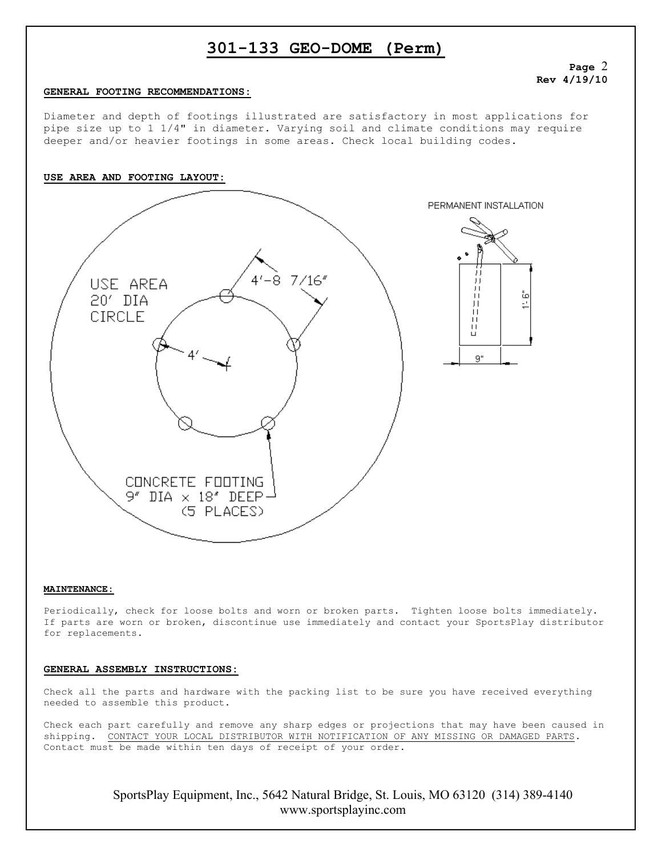### **Page** 2 **Rev 4/19/10**

#### **GENERAL FOOTING RECOMMENDATIONS:**

Diameter and depth of footings illustrated are satisfactory in most applications for pipe size up to 1 1/4" in diameter. Varying soil and climate conditions may require deeper and/or heavier footings in some areas. Check local building codes.



#### **MAINTENANCE:**

Periodically, check for loose bolts and worn or broken parts. Tighten loose bolts immediately. If parts are worn or broken, discontinue use immediately and contact your SportsPlay distributor for replacements.

#### **GENERAL ASSEMBLY INSTRUCTIONS:**

Check all the parts and hardware with the packing list to be sure you have received everything needed to assemble this product.

Check each part carefully and remove any sharp edges or projections that may have been caused in shipping. CONTACT YOUR LOCAL DISTRIBUTOR WITH NOTIFICATION OF ANY MISSING OR DAMAGED PARTS. Contact must be made within ten days of receipt of your order.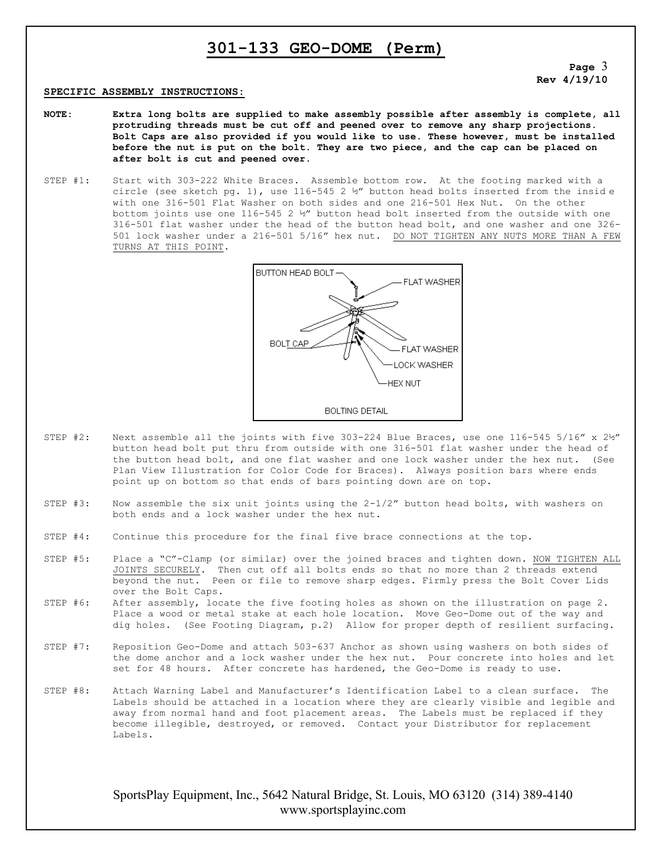**Page** 3 **Rev 4/19/10**

#### **SPECIFIC ASSEMBLY INSTRUCTIONS:**

- **NOTE: Extra long bolts are supplied to make assembly possible after assembly is complete, all protruding threads must be cut off and peened over to remove any sharp projections. Bolt Caps are also provided if you would like to use. These however, must be installed before the nut is put on the bolt. They are two piece, and the cap can be placed on after bolt is cut and peened over.**
- STEP #1: Start with 303-222 White Braces. Assemble bottom row. At the footing marked with a circle (see sketch pg. 1), use 116-545 2  $\nmid$  button head bolts inserted from the inside with one 316-501 Flat Washer on both sides and one 216-501 Hex Nut. On the other bottom joints use one 116-545 2 ½" button head bolt inserted from the outside with one 316-501 flat washer under the head of the button head bolt, and one washer and one 326- 501 lock washer under a 216-501 5/16" hex nut. DO NOT TIGHTEN ANY NUTS MORE THAN A FEW TURNS AT THIS POINT.



- STEP #2: Next assemble all the joints with five 303-224 Blue Braces, use one 116-545 5/16" x  $2\nmid y''$ button head bolt put thru from outside with one 316-501 flat washer under the head of the button head bolt, and one flat washer and one lock washer under the hex nut. (See Plan View Illustration for Color Code for Braces). Always position bars where ends point up on bottom so that ends of bars pointing down are on top.
- STEP #3: Now assemble the six unit joints using the 2-1/2" button head bolts, with washers on both ends and a lock washer under the hex nut.
- STEP #4: Continue this procedure for the final five brace connections at the top.
- STEP #5: Place a "C"-Clamp (or similar) over the joined braces and tighten down. NOW TIGHTEN ALL JOINTS SECURELY. Then cut off all bolts ends so that no more than 2 threads extend beyond the nut. Peen or file to remove sharp edges. Firmly press the Bolt Cover Lids over the Bolt Caps.
- STEP #6: After assembly, locate the five footing holes as shown on the illustration on page 2. Place a wood or metal stake at each hole location. Move Geo-Dome out of the way and dig holes. (See Footing Diagram, p.2) Allow for proper depth of resilient surfacing.
- STEP #7: Reposition Geo-Dome and attach 503-637 Anchor as shown using washers on both sides of the dome anchor and a lock washer under the hex nut. Pour concrete into holes and let set for 48 hours. After concrete has hardened, the Geo-Dome is ready to use.
- STEP #8: Attach Warning Label and Manufacturer's Identification Label to a clean surface. The Labels should be attached in a location where they are clearly visible and legible and away from normal hand and foot placement areas. The Labels must be replaced if they become illegible, destroyed, or removed. Contact your Distributor for replacement Labels.